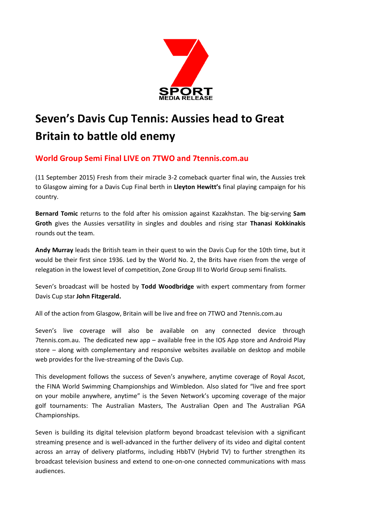

## **Seven's Davis Cup Tennis: Aussies head to Great Britain to battle old enemy**

## **World Group Semi Final LIVE on 7TWO and 7tennis.com.au**

(11 September 2015) Fresh from their miracle 3-2 comeback quarter final win, the Aussies trek to Glasgow aiming for a Davis Cup Final berth in **Lleyton Hewitt's** final playing campaign for his country.

**Bernard Tomic** returns to the fold after his omission against Kazakhstan. The big-serving **Sam Groth** gives the Aussies versatility in singles and doubles and rising star **Thanasi Kokkinakis** rounds out the team.

**Andy Murray** leads the British team in their quest to win the Davis Cup for the 10th time, but it would be their first since 1936. Led by the World No. 2, the Brits have risen from the verge of relegation in the lowest level of competition, Zone Group III to World Group semi finalists.

Seven's broadcast will be hosted by **Todd Woodbridge** with expert commentary from former Davis Cup star **John Fitzgerald.**

All of the action from Glasgow, Britain will be live and free on 7TWO and 7tennis.com.au

Seven's live coverage will also be available on any connected device through 7tennis.com.au. The dedicated new app – available free in the IOS App store and Android Play store – along with complementary and responsive websites available on desktop and mobile web provides for the live-streaming of the Davis Cup.

This development follows the success of Seven's anywhere, anytime coverage of Royal Ascot, the FINA World Swimming Championships and Wimbledon. Also slated for "live and free sport on your mobile anywhere, anytime" is the Seven Network's upcoming coverage of the major golf tournaments: The Australian Masters, The Australian Open and The Australian PGA Championships.

Seven is building its digital television platform beyond broadcast television with a significant streaming presence and is well-advanced in the further delivery of its video and digital content across an array of delivery platforms, including HbbTV (Hybrid TV) to further strengthen its broadcast television business and extend to one-on-one connected communications with mass audiences.